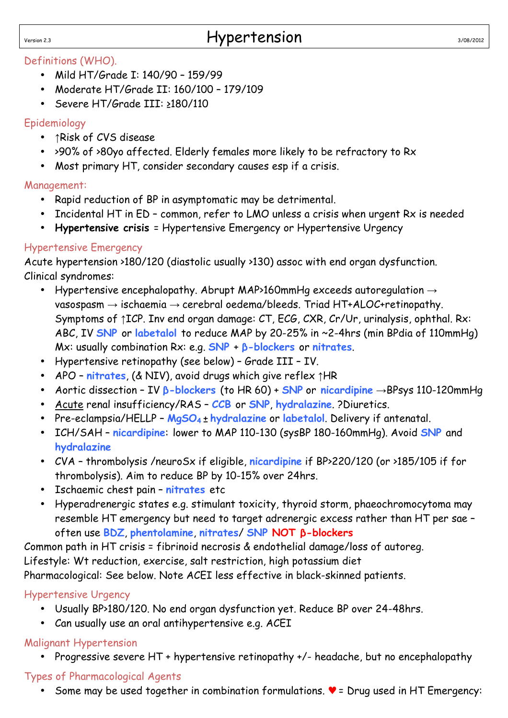#### Definitions (WHO).

- Mild HT/Grade I: 140/90 159/99
- Moderate HT/Grade II: 160/100 179/109
- Severe HT/Grade III: ≥180/110

# Epidemiology

- ↑Risk of CVS disease
- >90% of >80yo affected. Elderly females more likely to be refractory to Rx
- Most primary HT, consider secondary causes esp if a crisis.

# Management:

- Rapid reduction of BP in asymptomatic may be detrimental.
- Incidental HT in ED common, refer to LMO unless a crisis when urgent Rx is needed
- **Hypertensive crisis** = Hypertensive Emergency or Hypertensive Urgency

# Hypertensive Emergency

Acute hypertension >180/120 (diastolic usually >130) assoc with end organ dysfunction. Clinical syndromes:

- Hypertensive encephalopathy. Abrupt MAP>160mmHg exceeds autoregulation  $\rightarrow$ vasospasm  $\rightarrow$  ischaemia  $\rightarrow$  cerebral oedema/bleeds. Triad HT+ALOC+retinopathy. Symptoms of ↑ICP. Inv end organ damage: CT, ECG, CXR, Cr/Ur, urinalysis, ophthal. Rx: ABC, IV **SNP** or **labetalol** to reduce MAP by 20-25% in ~2-4hrs (min BPdia of 110mmHg) Mx: usually combination Rx: e.g. **SNP** + **β-blockers** or **nitrates**.
- Hypertensive retinopathy (see below) Grade III IV.
- APO **nitrates**, (& NIV), avoid drugs which give reflex ↑HR
- Aortic dissection IV **β-blockers** (to HR 60) + **SNP** or **nicardipine** →BPsys 110-120mmHg
- Acute renal insufficiency/RAS **CCB** or **SNP**, **hydralazine**. ?Diuretics.
- Pre-eclampsia/HELLP **MgSO<sup>4</sup>** ± **hydralazine** or **labetalol**. Delivery if antenatal.
- ICH/SAH **nicardipine**: lower to MAP 110-130 (sysBP 180-160mmHg). Avoid **SNP** and **hydralazine**
- CVA thrombolysis /neuroSx if eligible, **nicardipine** if BP>220/120 (or >185/105 if for thrombolysis). Aim to reduce BP by 10-15% over 24hrs.
- Ischaemic chest pain **nitrates** etc
- Hyperadrenergic states e.g. stimulant toxicity, thyroid storm, phaeochromocytoma may resemble HT emergency but need to target adrenergic excess rather than HT per sae – often use **BDZ**, **phentolamine**, **nitrates**/ **SNP NOT β-blockers**

Common path in HT crisis = fibrinoid necrosis & endothelial damage/loss of autoreg. Lifestyle: Wt reduction, exercise, salt restriction, high potassium diet Pharmacological: See below. Note ACEI less effective in black-skinned patients.

# Hypertensive Urgency

- Usually BP>180/120. No end organ dysfunction yet. Reduce BP over 24-48hrs.
- Can usually use an oral antihypertensive e.g. ACEI

# Malignant Hypertension

• Progressive severe HT + hypertensive retinopathy +/- headache, but no encephalopathy

# Types of Pharmacological Agents

Some may be used together in combination formulations.  $\mathbf{v}$  = Drug used in HT Emergency: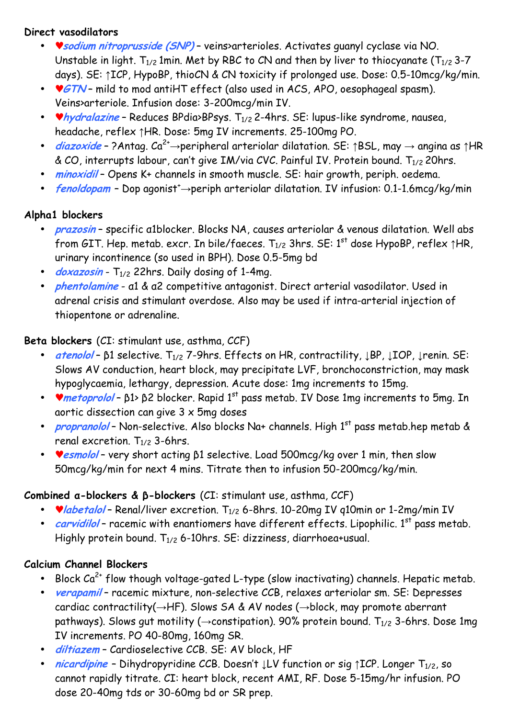#### **Direct vasodilators**

- ♥**sodium nitroprusside (SNP)** veins>arterioles. Activates guanyl cyclase via NO. Unstable in light.  $T_{1/2}$  1min. Met by RBC to CN and then by liver to thiocyanate ( $T_{1/2}$  3-7 days). SE: ↑ICP, HypoBP, thioCN & CN toxicity if prolonged use. Dose: 0.5-10mcg/kg/min.
- **GTN** mild to mod antiHT effect (also used in ACS, APO, oesophageal spasm). Veins>arteriole. Infusion dose: 3-200mcg/min IV.
- *hydralazine* Reduces BPdia>BPsys. T<sub>1/2</sub> 2-4hrs. SE: lupus-like syndrome, nausea, headache, reflex ↑HR. Dose: 5mg IV increments. 25-100mg PO.
- **diazoxide** ?Antag.  $Ca^{2+} \rightarrow$ peripheral arteriolar dilatation. SE: ↑BSL, may  $\rightarrow$  angina as ↑HR & CO, interrupts labour, can't give IM/via CVC. Painful IV. Protein bound.  $T_{1/2}$  20hrs.
- **minoxidil** Opens K+ channels in smooth muscle. SE: hair growth, periph. oedema.
- **fenoldopam** Dop agonist<sup>+</sup>→periph arteriolar dilatation. IV infusion: 0.1-1.6mcg/kg/min

#### **Alpha1 blockers**

- **prazosin** specific α1blocker. Blocks NA, causes arteriolar & venous dilatation. Well abs from GIT. Hep. metab. excr. In bile/faeces.  $T_{1/2}$  3hrs. SE: 1<sup>st</sup> dose HypoBP, reflex  $\uparrow$ HR, urinary incontinence (so used in BPH). Dose 0.5-5mg bd
- *doxazosin* T<sub>1/2</sub> 22hrs. Daily dosing of 1-4mg.
- **phentolamine** α1 & α2 competitive antagonist. Direct arterial vasodilator. Used in adrenal crisis and stimulant overdose. Also may be used if intra-arterial injection of thiopentone or adrenaline.

#### **Beta blockers** (CI: stimulant use, asthma, CCF)

- **atenolol** β1 selective. T<sub>1/2</sub> 7-9hrs. Effects on HR, contractility, JBP, JIOP, Jrenin. SE: Slows AV conduction, heart block, may precipitate LVF, bronchoconstriction, may mask hypoglycaemia, lethargy, depression. Acute dose: 1mg increments to 15mg.
- *v* metoprolol β1> β2 blocker. Rapid 1<sup>st</sup> pass metab. IV Dose 1mg increments to 5mg. In aortic dissection can give 3 x 5mg doses
- *propranolol* Non-selective. Also blocks Na+ channels. High 1<sup>st</sup> pass metab.hep metab & renal excretion.  $T_{1/2}$  3-6hrs.
- ♥**esmolol** very short acting β1 selective. Load 500mcg/kg over 1 min, then slow 50mcg/kg/min for next 4 mins. Titrate then to infusion 50-200mcg/kg/min.

### **Combined α-blockers & β-blockers** (CI: stimulant use, asthma, CCF)

- **v** labetalol Renal/liver excretion. T<sub>1/2</sub> 6-8hrs. 10-20mg IV q10min or 1-2mg/min IV
- *carvidilol* racemic with enantiomers have different effects. Lipophilic. 1<sup>st</sup> pass metab. Highly protein bound.  $T_{1/2}$  6-10hrs. SE: dizziness, diarrhoea+usual.

### **Calcium Channel Blockers**

- Block  $Ca^{2+}$  flow though voltage-gated L-type (slow inactivating) channels. Hepatic metab.
- **verapamil** racemic mixture, non-selective CCB, relaxes arteriolar sm. SE: Depresses cardiac contractility(→HF). Slows SA & AV nodes (→block, may promote aberrant pathways). Slows gut motility ( $\rightarrow$ constipation). 90% protein bound.  $T_{1/2}$  3-6hrs. Dose 1mg IV increments. PO 40-80mg, 160mg SR.
- **diltiazem** Cardioselective CCB. SE: AV block, HF
- **nicardipine** Dihydropyridine CCB. Doesn't  $\downarrow$ LV function or sig  $\uparrow$ ICP. Longer T<sub>1/2</sub>, so cannot rapidly titrate. CI: heart block, recent AMI, RF. Dose 5-15mg/hr infusion. PO dose 20-40mg tds or 30-60mg bd or SR prep.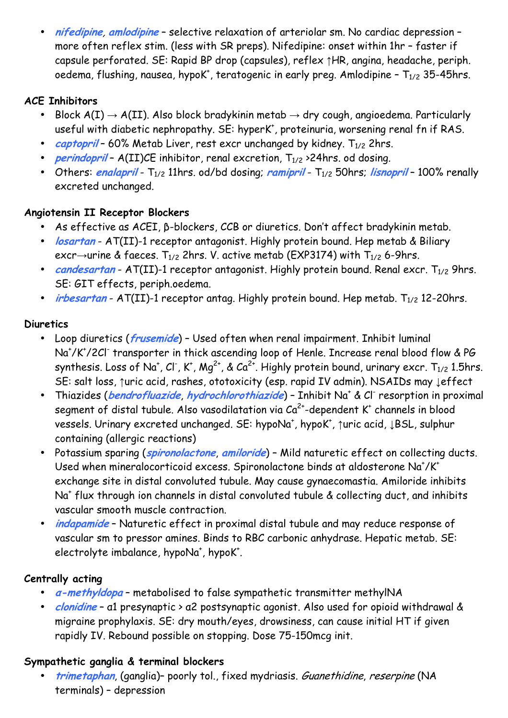• **nifedipine**, **amlodipine** – selective relaxation of arteriolar sm. No cardiac depression – more often reflex stim. (less with SR preps). Nifedipine: onset within 1hr – faster if capsule perforated. SE: Rapid BP drop (capsules), reflex ↑HR, angina, headache, periph. oedema, flushing, nausea, hypo $K^*$ , teratogenic in early preg. Amlodipine –  ${\sf T}_{1/2}$  35-45hrs.

# **ACE Inhibitors**

- Block  $A(I) \rightarrow A(II)$ . Also block bradykinin metab  $\rightarrow$  dry cough, angioedema. Particularly useful with diabetic nephropathy. SE: hyperK<sup>+</sup>, proteinuria, worsening renal fn if RAS.
- *captopril* 60% Metab Liver, rest excr unchanged by kidney. T<sub>1/2</sub> 2hrs.
- *perindopril* A(II)CE inhibitor, renal excretion,  $T_{1/2}$  >24hrs. od dosing.
- Others: *enalapril* T<sub>1/2</sub> 11hrs. od/bd dosing; *ramipril* T<sub>1/2</sub> 50hrs; *lisnopril* 100% renally excreted unchanged.

### **Angiotensin II Receptor Blockers**

- As effective as ACEI, β-blockers, CCB or diuretics. Don't affect bradykinin metab.
- **losartan** AT(II)-1 receptor antagonist. Highly protein bound. Hep metab & Biliary excr→urine & faeces.  $T_{1/2}$  2hrs. V. active metab (EXP3174) with  $T_{1/2}$  6-9hrs.
- *candesartan* AT(II)-1 receptor antagonist. Highly protein bound. Renal excr. T<sub>1/2</sub> 9hrs. SE: GIT effects, periph.oedema.
- *irbesartan* AT(II)-1 receptor antag. Highly protein bound. Hep metab. T<sub>1/2</sub> 12-20hrs.

# **Diuretics**

- Loop diuretics (**frusemide**) Used often when renal impairment. Inhibit luminal Na<sup>+</sup>/K<sup>+</sup>/2Cl<sup>-</sup> transporter in thick ascending loop of Henle. Increase renal blood flow & PG synthesis. Loss of Na<sup>+</sup>, Cl<sup>-</sup>, K<sup>+</sup>, Mg<sup>2+</sup>, & Ca<sup>2+</sup>. Highly protein bound, urinary excr. T<sub>1/2</sub> 1.5hrs. SE: salt loss, ↑uric acid, rashes, ototoxicity (esp. rapid IV admin). NSAIDs may ↓effect
- Thiazides (**bendrofluazide**, **hydrochlorothiazide**) Inhibit Na<sup>+</sup> & Cl- resorption in proximal segment of distal tubule. Also vasodilatation via  $Ca^{2+}$ -dependent K $^*$  channels in blood vessels. Urinary excreted unchanged. SE: hypoNa<sup>+</sup>, hypoK<sup>+</sup>, ↑uric acid, ↓BSL, sulphur containing (allergic reactions)
- Potassium sparing (**spironolactone**, **amiloride**) Mild naturetic effect on collecting ducts. Used when mineralocorticoid excess. Spironolactone binds at aldosterone Na<sup>+</sup>/K<sup>+</sup> exchange site in distal convoluted tubule. May cause gynaecomastia. Amiloride inhibits Na<sup>+</sup> flux through ion channels in distal convoluted tubule & collecting duct, and inhibits vascular smooth muscle contraction.
- **indapamide** Naturetic effect in proximal distal tubule and may reduce response of vascular sm to pressor amines. Binds to RBC carbonic anhydrase. Hepatic metab. SE: electrolyte imbalance, hypoNa<sup>+</sup>, hypoK<sup>+</sup>.

# **Centrally acting**

- **α-methyldopa** metabolised to false sympathetic transmitter methylNA
- **clonidine** α1 presynaptic > α2 postsynaptic agonist. Also used for opioid withdrawal & migraine prophylaxis. SE: dry mouth/eyes, drowsiness, can cause initial HT if given rapidly IV. Rebound possible on stopping. Dose 75-150mcg init.

### **Sympathetic ganglia & terminal blockers**

• **trimetaphan**, (ganglia)– poorly tol., fixed mydriasis. Guanethidine, reserpine (NA terminals) – depression